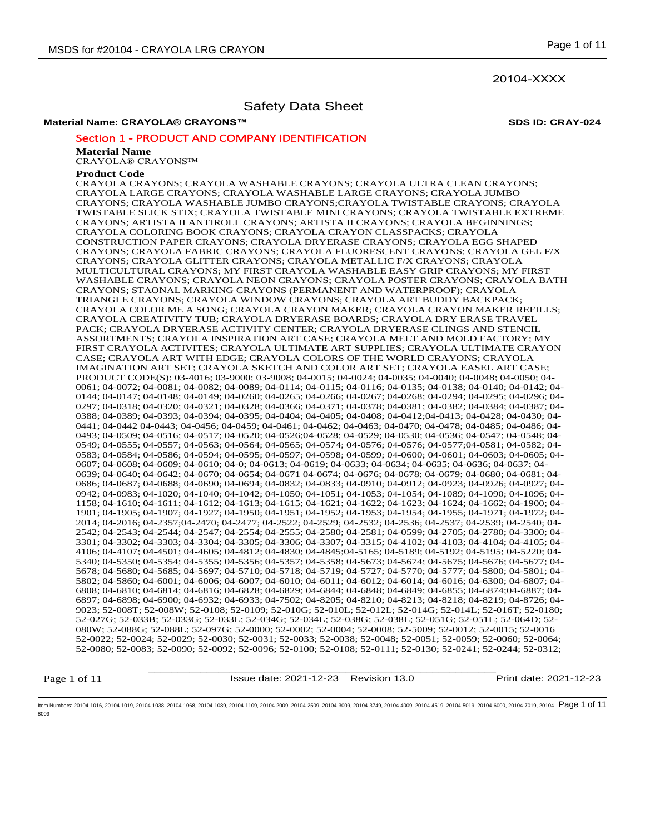20104-XXXX

# Safety Data Sheet

# **Material Name: CRAYOLA® CRAYONS™ SDS ID: CRAY-024**

# Section 1 - PRODUCT AND COMPANY IDENTIFICATION

## **Material Name**

CRAYOLA® CRAYONS™

## **Product Code**

CRAYOLA CRAYONS; CRAYOLA WASHABLE CRAYONS; CRAYOLA ULTRA CLEAN CRAYONS; CRAYOLA LARGE CRAYONS; CRAYOLA WASHABLE LARGE CRAYONS; CRAYOLA JUMBO CRAYONS; CRAYOLA WASHABLE JUMBO CRAYONS;CRAYOLA TWISTABLE CRAYONS; CRAYOLA TWISTABLE SLICK STIX; CRAYOLA TWISTABLE MINI CRAYONS; CRAYOLA TWISTABLE EXTREME CRAYONS; ARTISTA II ANTIROLL CRAYONS; ARTISTA II CRAYONS; CRAYOLA BEGINNINGS; CRAYOLA COLORING BOOK CRAYONS; CRAYOLA CRAYON CLASSPACKS; CRAYOLA CONSTRUCTION PAPER CRAYONS; CRAYOLA DRYERASE CRAYONS; CRAYOLA EGG SHAPED CRAYONS; CRAYOLA FABRIC CRAYONS; CRAYOLA FLUORESCENT CRAYONS; CRAYOLA GEL F/X CRAYONS; CRAYOLA GLITTER CRAYONS; CRAYOLA METALLIC F/X CRAYONS; CRAYOLA MULTICULTURAL CRAYONS; MY FIRST CRAYOLA WASHABLE EASY GRIP CRAYONS; MY FIRST WASHABLE CRAYONS; CRAYOLA NEON CRAYONS; CRAYOLA POSTER CRAYONS; CRAYOLA BATH CRAYONS; STAONAL MARKING CRAYONS (PERMANENT AND WATERPROOF); CRAYOLA TRIANGLE CRAYONS; CRAYOLA WINDOW CRAYONS; CRAYOLA ART BUDDY BACKPACK; CRAYOLA COLOR ME A SONG; CRAYOLA CRAYON MAKER; CRAYOLA CRAYON MAKER REFILLS; CRAYOLA CREATIVITY TUB; CRAYOLA DRYERASE BOARDS; CRAYOLA DRY ERASE TRAVEL PACK; CRAYOLA DRYERASE ACTIVITY CENTER; CRAYOLA DRYERASE CLINGS AND STENCIL ASSORTMENTS; CRAYOLA INSPIRATION ART CASE; CRAYOLA MELT AND MOLD FACTORY; MY FIRST CRAYOLA ACTIVITES; CRAYOLA ULTIMATE ART SUPPLIES; CRAYOLA ULTIMATE CRAYON CASE; CRAYOLA ART WITH EDGE; CRAYOLA COLORS OF THE WORLD CRAYONS; CRAYOLA IMAGINATION ART SET; CRAYOLA SKETCH AND COLOR ART SET; CRAYOLA EASEL ART CASE; PRODUCT CODE(S): 03-4016; 03-9000; 03-9008; 04-0015; 04-0024; 04-0035; 04-0040; 04-0048; 04-0050; 04- 0061; 04-0072; 04-0081; 04-0082; 04-0089; 04-0114; 04-0115; 04-0116; 04-0135; 04-0138; 04-0140; 04-0142; 04- 0144; 04-0147; 04-0148; 04-0149; 04-0260; 04-0265; 04-0266; 04-0267; 04-0268; 04-0294; 04-0295; 04-0296; 04- 0297; 04-0318; 04-0320; 04-0321; 04-0328; 04-0366; 04-0371; 04-0378; 04-0381; 04-0382; 04-0384; 04-0387; 04- 0388; 04-0389; 04-0393; 04-0394; 04-0395; 04-0404; 04-0405; 04-0408; 04-0412;04-0413; 04-0428; 04-0430; 04- 0441; 04-0442 04-0443; 04-0456; 04-0459; 04-0461; 04-0462; 04-0463; 04-0470; 04-0478; 04-0485; 04-0486; 04- 0493; 04-0509; 04-0516; 04-0517; 04-0520; 04-0526;04-0528; 04-0529; 04-0530; 04-0536; 04-0547; 04-0548; 04- 0549; 04-0555; 04-0557; 04-0563; 04-0564; 04-0565; 04-0574; 04-0576; 04-0576; 04-0577;04-0581; 04-0582; 04- 0583; 04-0584; 04-0586; 04-0594; 04-0595; 04-0597; 04-0598; 04-0599; 04-0600; 04-0601; 04-0603; 04-0605; 04- 0607; 04-0608; 04-0609; 04-0610; 04-0; 04-0613; 04-0619; 04-0633; 04-0634; 04-0635; 04-0636; 04-0637; 04- 0639; 04-0640; 04-0642; 04-0670; 04-0654; 04-0671 04-0674; 04-0676; 04-0678; 04-0679; 04-0680; 04-0681; 04- 0686; 04-0687; 04-0688; 04-0690; 04-0694; 04-0832; 04-0833; 04-0910; 04-0912; 04-0923; 04-0926; 04-0927; 04- 0942; 04-0983; 04-1020; 04-1040; 04-1042; 04-1050; 04-1051; 04-1053; 04-1054; 04-1089; 04-1090; 04-1096; 04- 1158; 04-1610; 04-1611; 04-1612; 04-1613; 04-1615; 04-1621; 04-1622; 04-1623; 04-1624; 04-1662; 04-1900; 04- 1901; 04-1905; 04-1907; 04-1927; 04-1950; 04-1951; 04-1952; 04-1953; 04-1954; 04-1955; 04-1971; 04-1972; 04- 2014; 04-2016; 04-2357;04-2470; 04-2477; 04-2522; 04-2529; 04-2532; 04-2536; 04-2537; 04-2539; 04-2540; 04- 2542; 04-2543; 04-2544; 04-2547; 04-2554; 04-2555; 04-2580; 04-2581; 04-0599; 04-2705; 04-2780; 04-3300; 04- 3301; 04-3302; 04-3303; 04-3304; 04-3305; 04-3306; 04-3307; 04-3315; 04-4102; 04-4103; 04-4104; 04-4105; 04- 4106; 04-4107; 04-4501; 04-4605; 04-4812; 04-4830; 04-4845;04-5165; 04-5189; 04-5192; 04-5195; 04-5220; 04- 5340; 04-5350; 04-5354; 04-5355; 04-5356; 04-5357; 04-5358; 04-5673; 04-5674; 04-5675; 04-5676; 04-5677; 04- 5678; 04-5680; 04-5685; 04-5697; 04-5710; 04-5718; 04-5719; 04-5727; 04-5770; 04-5777; 04-5800; 04-5801; 04- 5802; 04-5860; 04-6001; 04-6006; 04-6007; 04-6010; 04-6011; 04-6012; 04-6014; 04-6016; 04-6300; 04-6807; 04- 6808; 04-6810; 04-6814; 04-6816; 04-6828; 04-6829; 04-6844; 04-6848; 04-6849; 04-6855; 04-6874;04-6887; 04- 6897; 04-6898; 04-6900; 04-6932; 04-6933; 04-7502; 04-8205; 04-8210; 04-8213; 04-8218; 04-8219; 04-8726; 04- 9023; 52-008T; 52-008W; 52-0108; 52-0109; 52-010G; 52-010L; 52-012L; 52-014G; 52-014L; 52-016T; 52-0180; 52-027G; 52-033B; 52-033G; 52-033L; 52-034G; 52-034L; 52-038G; 52-038L; 52-051G; 52-051L; 52-064D; 52- 080W; 52-088G; 52-088L; 52-097G; 52-0000; 52-0002; 52-0004; 52-0008; 52-5009; 52-0012; 52-0015; 52-0016 52-0022; 52-0024; 52-0029; 52-0030; 52-0031; 52-0033; 52-0038; 52-0048; 52-0051; 52-0059; 52-0060; 52-0064; 52-0080; 52-0083; 52-0090; 52-0092; 52-0096; 52-0100; 52-0108; 52-0111; 52-0130; 52-0241; 52-0244; 52-0312;

Page 1 of 11

Issue date: 2021-12-23 Revision 13.0 Print date: 2021-12-23

\_\_\_\_\_\_\_\_\_\_\_\_\_\_\_\_\_\_\_\_\_\_\_\_\_\_\_\_\_\_\_\_\_\_\_\_\_\_\_\_\_\_\_\_\_\_\_\_\_\_\_\_\_\_\_\_\_\_\_\_

ltem Numbers: 20104-1016, 20104-1019, 20104-1038, 20104-1088, 20104-1089, 20104-1109, 20104-2009, 20104-2509, 20104-3719, 20104-4019, 20104-4019, 20104-5019, 20104-4519, 20104-6010, 20104-6000, 20104-7019, 20104-600, 20104 8009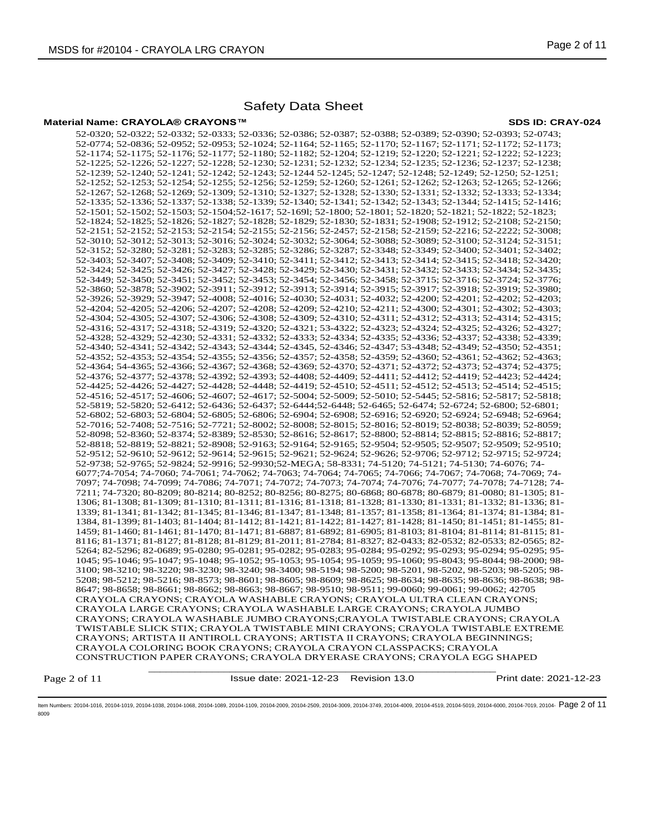## **Material Name: CRAYOLA® CRAYONS™ SDS ID: CRAY-024**

\_\_\_\_\_\_\_\_\_\_\_\_\_\_\_\_\_\_\_\_\_\_\_\_\_\_\_\_\_\_\_\_\_\_\_\_\_\_\_\_\_\_\_\_\_\_\_\_\_\_\_\_\_\_\_\_\_\_\_\_ 52-0320; 52-0322; 52-0332; 52-0333; 52-0336; 52-0386; 52-0387; 52-0388; 52-0389; 52-0390; 52-0393; 52-0743; 52-0774; 52-0836; 52-0952; 52-0953; 52-1024; 52-1164; 52-1165; 52-1170; 52-1167; 52-1171; 52-1172; 52-1173; 52-1174; 52-1175; 52-1176; 52-1177; 52-1180; 52-1182; 52-1204; 52-1219; 52-1220; 52-1221; 52-1222; 52-1223; 52-1225; 52-1226; 52-1227; 52-1228; 52-1230; 52-1231; 52-1232; 52-1234; 52-1235; 52-1236; 52-1237; 52-1238; 52-1239; 52-1240; 52-1241; 52-1242; 52-1243; 52-1244 52-1245; 52-1247; 52-1248; 52-1249; 52-1250; 52-1251; 52-1252; 52-1253; 52-1254; 52-1255; 52-1256; 52-1259; 52-1260; 52-1261; 52-1262; 52-1263; 52-1265; 52-1266; 52-1267; 52-1268; 52-1269; 52-1309; 52-1310; 52-1327; 52-1328; 52-1330; 52-1331; 52-1332; 52-1333; 52-1334; 52-1335; 52-1336; 52-1337; 52-1338; 52-1339; 52-1340; 52-1341; 52-1342; 52-1343; 52-1344; 52-1415; 52-1416; 52-1501; 52-1502; 52-1503; 52-1504;52-1617; 52-169l; 52-1800; 52-1801; 52-1820; 52-1821; 52-1822; 52-1823; 52-1824; 52-1825; 52-1826; 52-1827; 52-1828; 52-1829; 52-1830; 52-1831; 52-1908; 52-1912; 52-2108; 52-2150; 52-2151; 52-2152; 52-2153; 52-2154; 52-2155; 52-2156; 52-2457; 52-2158; 52-2159; 52-2216; 52-2222; 52-3008; 52-3010; 52-3012; 52-3013; 52-3016; 52-3024; 52-3032; 52-3064; 52-3088; 52-3089; 52-3100; 52-3124; 52-3151; 52-3152; 52-3280; 52-3281; 52-3283; 52-3285; 52-3286; 52-3287; 52-3348; 52-3349; 52-3400; 52-3401; 52-3402; 52-3403; 52-3407; 52-3408; 52-3409; 52-3410; 52-3411; 52-3412; 52-3413; 52-3414; 52-3415; 52-3418; 52-3420; 52-3424; 52-3425; 52-3426; 52-3427; 52-3428; 52-3429; 52-3430; 52-3431; 52-3432; 52-3433; 52-3434; 52-3435; 52-3449; 52-3450; 52-3451; 52-3452; 52-3453; 52-3454; 52-3456; 52-3458; 52-3715; 52-3716; 52-3724; 52-3776; 52-3860; 52-3878; 52-3902; 52-3911; 52-3912; 52-3913; 52-3914; 52-3915; 52-3917; 52-3918; 52-3919; 52-3980; 52-3926; 52-3929; 52-3947; 52-4008; 52-4016; 52-4030; 52-4031; 52-4032; 52-4200; 52-4201; 52-4202; 52-4203; 52-4204; 52-4205; 52-4206; 52-4207; 52-4208; 52-4209; 52-4210; 52-4211; 52-4300; 52-4301; 52-4302; 52-4303; 52-4304; 52-4305; 52-4307; 52-4306; 52-4308; 52-4309; 52-4310; 52-4311; 52-4312; 52-4313; 52-4314; 52-4315; 52-4316; 52-4317; 52-4318; 52-4319; 52-4320; 52-4321; 53-4322; 52-4323; 52-4324; 52-4325; 52-4326; 52-4327; 52-4328; 52-4329; 52-4230; 52-4331; 52-4332; 52-4333; 52-4334; 52-4335; 52-4336; 52-4337; 52-4338; 52-4339; 52-4340; 52-4341; 52-4342; 52-4343; 52-4344; 52-4345, 52-4346; 52-4347; 53-4348; 52-4349; 52-4350; 52-4351; 52-4352; 52-4353; 52-4354; 52-4355; 52-4356; 52-4357; 52-4358; 52-4359; 52-4360; 52-4361; 52-4362; 52-4363; 52-4364; 54-4365; 52-4366; 52-4367; 52-4368; 52-4369; 52-4370; 52-4371; 52-4372; 52-4373; 52-4374; 52-4375; 52-4376; 52-4377; 52-4378; 52-4392; 52-4393; 52-4408; 52-4409; 52-4411; 52-4412; 52-4419; 52-4423; 52-4424; 52-4425; 52-4426; 52-4427; 52-4428; 52-4448; 52-4419; 52-4510; 52-4511; 52-4512; 52-4513; 52-4514; 52-4515; 52-4516; 52-4517; 52-4606; 52-4607; 52-4617; 52-5004; 52-5009; 52-5010; 52-5445; 52-5816; 52-5817; 52-5818; 52-5819; 52-5820; 52-6412; 52-6436; 52-6437; 52-6444;52-6448; 52-6465; 52-6474; 52-6724; 52-6800; 52-6801; 52-6802; 52-6803; 52-6804; 52-6805; 52-6806; 52-6904; 52-6908; 52-6916; 52-6920; 52-6924; 52-6948; 52-6964; 52-7016; 52-7408; 52-7516; 52-7721; 52-8002; 52-8008; 52-8015; 52-8016; 52-8019; 52-8038; 52-8039; 52-8059; 52-8098; 52-8360; 52-8374; 52-8389; 52-8530; 52-8616; 52-8617; 52-8800; 52-8814; 52-8815; 52-8816; 52-8817; 52-8818; 52-8819; 52-8821; 52-8908; 52-9163; 52-9164; 52-9165; 52-9504; 52-9505; 52-9507; 52-9509; 52-9510; 52-9512; 52-9610; 52-9612; 52-9614; 52-9615; 52-9621; 52-9624; 52-9626; 52-9706; 52-9712; 52-9715; 52-9724; 52-9738; 52-9765; 52-9824; 52-9916; 52-9930;52-MEGA; 58-8331; 74-5120; 74-5121; 74-5130; 74-6076; 74- 6077;74-7054; 74-7060; 74-7061; 74-7062; 74-7063; 74-7064; 74-7065; 74-7066; 74-7067; 74-7068; 74-7069; 74- 7097; 74-7098; 74-7099; 74-7086; 74-7071; 74-7072; 74-7073; 74-7074; 74-7076; 74-7077; 74-7078; 74-7128; 74- 7211; 74-7320; 80-8209; 80-8214; 80-8252; 80-8256; 80-8275; 80-6868; 80-6878; 80-6879; 81-0080; 81-1305; 81- 1306; 81-1308; 81-1309; 81-1310; 81-1311; 81-1316; 81-1318; 81-1328; 81-1330; 81-1331; 81-1332; 81-1336; 81- 1339; 81-1341; 81-1342; 81-1345; 81-1346; 81-1347; 81-1348; 81-1357; 81-1358; 81-1364; 81-1374; 81-1384; 81- 1384, 81-1399; 81-1403; 81-1404; 81-1412; 81-1421; 81-1422; 81-1427; 81-1428; 81-1450; 81-1451; 81-1455; 81- 1459; 81-1460; 81-1461; 81-1470; 81-1471; 81-6887; 81-6892; 81-6905; 81-8103; 81-8104; 81-8114; 81-8115; 81- 8116; 81-1371; 81-8127; 81-8128; 81-8129; 81-2011; 81-2784; 81-8327; 82-0433; 82-0532; 82-0533; 82-0565; 82- 5264; 82-5296; 82-0689; 95-0280; 95-0281; 95-0282; 95-0283; 95-0284; 95-0292; 95-0293; 95-0294; 95-0295; 95- 1045; 95-1046; 95-1047; 95-1048; 95-1052; 95-1053; 95-1054; 95-1059; 95-1060; 95-8043; 95-8044; 98-2000; 98- 3100; 98-3210; 98-3220; 98-3230; 98-3240; 98-3400; 98-5194; 98-5200; 98-5201, 98-5202, 98-5203; 98-5205; 98- 5208; 98-5212; 98-5216; 98-8573; 98-8601; 98-8605; 98-8609; 98-8625; 98-8634; 98-8635; 98-8636; 98-8638; 98- 8647; 98-8658; 98-8661; 98-8662; 98-8663; 98-8667; 98-9510; 98-9511; 99-0060; 99-0061; 99-0062; 42705 CRAYOLA CRAYONS; CRAYOLA WASHABLE CRAYONS; CRAYOLA ULTRA CLEAN CRAYONS; CRAYOLA LARGE CRAYONS; CRAYOLA WASHABLE LARGE CRAYONS; CRAYOLA JUMBO CRAYONS; CRAYOLA WASHABLE JUMBO CRAYONS;CRAYOLA TWISTABLE CRAYONS; CRAYOLA TWISTABLE SLICK STIX; CRAYOLA TWISTABLE MINI CRAYONS; CRAYOLA TWISTABLE EXTREME CRAYONS; ARTISTA II ANTIROLL CRAYONS; ARTISTA II CRAYONS; CRAYOLA BEGINNINGS; CRAYOLA COLORING BOOK CRAYONS; CRAYOLA CRAYON CLASSPACKS; CRAYOLA CONSTRUCTION PAPER CRAYONS; CRAYOLA DRYERASE CRAYONS; CRAYOLA EGG SHAPED

Page 2 of 11

Issue date: 2021-12-23 Revision 13.0 Print date: 2021-12-23

ltem Numbers: 20104-1016, 20104-1019, 20104-1038, 20104-1088, 20104-1089, 20104-1109, 20104-2009, 20104-2509, 20104-3719, 20104-4019, 20104-4519, 20104-5019, 20104-45019, 20104-5019, 20104-6000, 20104-7019, 20104-600, 2010 8009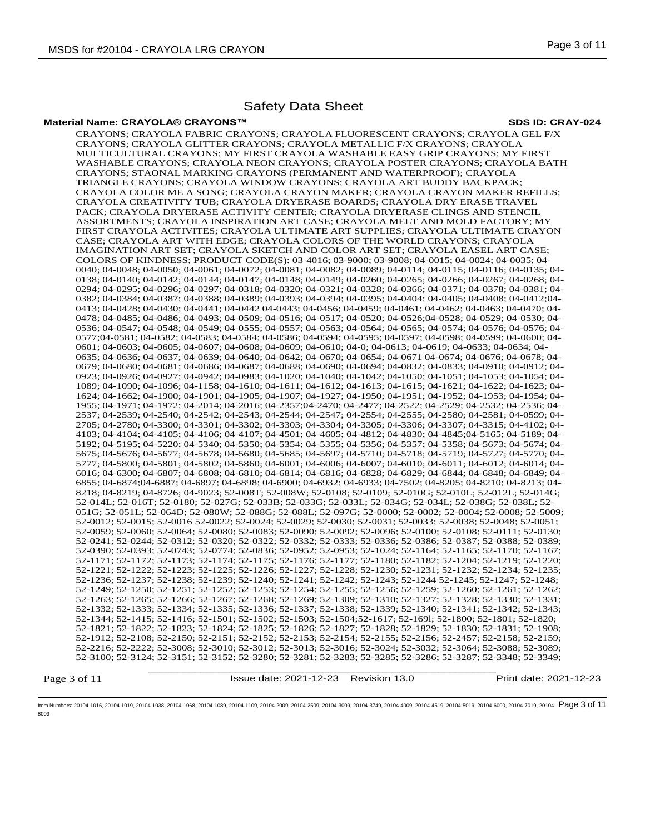## **Material Name: CRAYOLA® CRAYONS™ SDS ID: CRAY-024**

\_\_\_\_\_\_\_\_\_\_\_\_\_\_\_\_\_\_\_\_\_\_\_\_\_\_\_\_\_\_\_\_\_\_\_\_\_\_\_\_\_\_\_\_\_\_\_\_\_\_\_\_\_\_\_\_\_\_\_\_ CRAYONS; CRAYOLA FABRIC CRAYONS; CRAYOLA FLUORESCENT CRAYONS; CRAYOLA GEL F/X CRAYONS; CRAYOLA GLITTER CRAYONS; CRAYOLA METALLIC F/X CRAYONS; CRAYOLA MULTICULTURAL CRAYONS; MY FIRST CRAYOLA WASHABLE EASY GRIP CRAYONS; MY FIRST WASHABLE CRAYONS; CRAYOLA NEON CRAYONS; CRAYOLA POSTER CRAYONS; CRAYOLA BATH CRAYONS; STAONAL MARKING CRAYONS (PERMANENT AND WATERPROOF); CRAYOLA TRIANGLE CRAYONS; CRAYOLA WINDOW CRAYONS; CRAYOLA ART BUDDY BACKPACK; CRAYOLA COLOR ME A SONG; CRAYOLA CRAYON MAKER; CRAYOLA CRAYON MAKER REFILLS; CRAYOLA CREATIVITY TUB; CRAYOLA DRYERASE BOARDS; CRAYOLA DRY ERASE TRAVEL PACK; CRAYOLA DRYERASE ACTIVITY CENTER; CRAYOLA DRYERASE CLINGS AND STENCIL ASSORTMENTS; CRAYOLA INSPIRATION ART CASE; CRAYOLA MELT AND MOLD FACTORY; MY FIRST CRAYOLA ACTIVITES; CRAYOLA ULTIMATE ART SUPPLIES; CRAYOLA ULTIMATE CRAYON CASE; CRAYOLA ART WITH EDGE; CRAYOLA COLORS OF THE WORLD CRAYONS; CRAYOLA IMAGINATION ART SET; CRAYOLA SKETCH AND COLOR ART SET; CRAYOLA EASEL ART CASE; COLORS OF KINDNESS; PRODUCT CODE(S): 03-4016; 03-9000; 03-9008; 04-0015; 04-0024; 04-0035; 04- 0040; 04-0048; 04-0050; 04-0061; 04-0072; 04-0081; 04-0082; 04-0089; 04-0114; 04-0115; 04-0116; 04-0135; 04- 0138; 04-0140; 04-0142; 04-0144; 04-0147; 04-0148; 04-0149; 04-0260; 04-0265; 04-0266; 04-0267; 04-0268; 04- 0294; 04-0295; 04-0296; 04-0297; 04-0318; 04-0320; 04-0321; 04-0328; 04-0366; 04-0371; 04-0378; 04-0381; 04- 0382; 04-0384; 04-0387; 04-0388; 04-0389; 04-0393; 04-0394; 04-0395; 04-0404; 04-0405; 04-0408; 04-0412;04- 0413; 04-0428; 04-0430; 04-0441; 04-0442 04-0443; 04-0456; 04-0459; 04-0461; 04-0462; 04-0463; 04-0470; 04- 0478; 04-0485; 04-0486; 04-0493; 04-0509; 04-0516; 04-0517; 04-0520; 04-0526;04-0528; 04-0529; 04-0530; 04- 0536; 04-0547; 04-0548; 04-0549; 04-0555; 04-0557; 04-0563; 04-0564; 04-0565; 04-0574; 04-0576; 04-0576; 04- 0577;04-0581; 04-0582; 04-0583; 04-0584; 04-0586; 04-0594; 04-0595; 04-0597; 04-0598; 04-0599; 04-0600; 04- 0601; 04-0603; 04-0605; 04-0607; 04-0608; 04-0609; 04-0610; 04-0; 04-0613; 04-0619; 04-0633; 04-0634; 04-0635; 04-0636; 04-0637; 04-0639; 04-0640; 04-0642; 04-0670; 04-0654; 04-0671 04-0674; 04-0676; 04-0678; 04- 0679; 04-0680; 04-0681; 04-0686; 04-0687; 04-0688; 04-0690; 04-0694; 04-0832; 04-0833; 04-0910; 04-0912; 04- 0923; 04-0926; 04-0927; 04-0942; 04-0983; 04-1020; 04-1040; 04-1042; 04-1050; 04-1051; 04-1053; 04-1054; 04- 1089; 04-1090; 04-1096; 04-1158; 04-1610; 04-1611; 04-1612; 04-1613; 04-1615; 04-1621; 04-1622; 04-1623; 04- 1624; 04-1662; 04-1900; 04-1901; 04-1905; 04-1907; 04-1927; 04-1950; 04-1951; 04-1952; 04-1953; 04-1954; 04- 1955; 04-1971; 04-1972; 04-2014; 04-2016; 04-2357;04-2470; 04-2477; 04-2522; 04-2529; 04-2532; 04-2536; 04- 2537; 04-2539; 04-2540; 04-2542; 04-2543; 04-2544; 04-2547; 04-2554; 04-2555; 04-2580; 04-2581; 04-0599; 04- 2705; 04-2780; 04-3300; 04-3301; 04-3302; 04-3303; 04-3304; 04-3305; 04-3306; 04-3307; 04-3315; 04-4102; 04- 4103; 04-4104; 04-4105; 04-4106; 04-4107; 04-4501; 04-4605; 04-4812; 04-4830; 04-4845;04-5165; 04-5189; 04- 5192; 04-5195; 04-5220; 04-5340; 04-5350; 04-5354; 04-5355; 04-5356; 04-5357; 04-5358; 04-5673; 04-5674; 04- 5675; 04-5676; 04-5677; 04-5678; 04-5680; 04-5685; 04-5697; 04-5710; 04-5718; 04-5719; 04-5727; 04-5770; 04- 5777; 04-5800; 04-5801; 04-5802; 04-5860; 04-6001; 04-6006; 04-6007; 04-6010; 04-6011; 04-6012; 04-6014; 04- 6016; 04-6300; 04-6807; 04-6808; 04-6810; 04-6814; 04-6816; 04-6828; 04-6829; 04-6844; 04-6848; 04-6849; 04- 6855; 04-6874;04-6887; 04-6897; 04-6898; 04-6900; 04-6932; 04-6933; 04-7502; 04-8205; 04-8210; 04-8213; 04- 8218; 04-8219; 04-8726; 04-9023; 52-008T; 52-008W; 52-0108; 52-0109; 52-010G; 52-010L; 52-012L; 52-014G; 52-014L; 52-016T; 52-0180; 52-027G; 52-033B; 52-033G; 52-033L; 52-034G; 52-034L; 52-038G; 52-038L; 52- 051G; 52-051L; 52-064D; 52-080W; 52-088G; 52-088L; 52-097G; 52-0000; 52-0002; 52-0004; 52-0008; 52-5009; 52-0012; 52-0015; 52-0016 52-0022; 52-0024; 52-0029; 52-0030; 52-0031; 52-0033; 52-0038; 52-0048; 52-0051; 52-0059; 52-0060; 52-0064; 52-0080; 52-0083; 52-0090; 52-0092; 52-0096; 52-0100; 52-0108; 52-0111; 52-0130; 52-0241; 52-0244; 52-0312; 52-0320; 52-0322; 52-0332; 52-0333; 52-0336; 52-0386; 52-0387; 52-0388; 52-0389; 52-0390; 52-0393; 52-0743; 52-0774; 52-0836; 52-0952; 52-0953; 52-1024; 52-1164; 52-1165; 52-1170; 52-1167; 52-1171; 52-1172; 52-1173; 52-1174; 52-1175; 52-1176; 52-1177; 52-1180; 52-1182; 52-1204; 52-1219; 52-1220; 52-1221; 52-1222; 52-1223; 52-1225; 52-1226; 52-1227; 52-1228; 52-1230; 52-1231; 52-1232; 52-1234; 52-1235; 52-1236; 52-1237; 52-1238; 52-1239; 52-1240; 52-1241; 52-1242; 52-1243; 52-1244 52-1245; 52-1247; 52-1248; 52-1249; 52-1250; 52-1251; 52-1252; 52-1253; 52-1254; 52-1255; 52-1256; 52-1259; 52-1260; 52-1261; 52-1262; 52-1263; 52-1265; 52-1266; 52-1267; 52-1268; 52-1269; 52-1309; 52-1310; 52-1327; 52-1328; 52-1330; 52-1331; 52-1332; 52-1333; 52-1334; 52-1335; 52-1336; 52-1337; 52-1338; 52-1339; 52-1340; 52-1341; 52-1342; 52-1343; 52-1344; 52-1415; 52-1416; 52-1501; 52-1502; 52-1503; 52-1504;52-1617; 52-169l; 52-1800; 52-1801; 52-1820; 52-1821; 52-1822; 52-1823; 52-1824; 52-1825; 52-1826; 52-1827; 52-1828; 52-1829; 52-1830; 52-1831; 52-1908; 52-1912; 52-2108; 52-2150; 52-2151; 52-2152; 52-2153; 52-2154; 52-2155; 52-2156; 52-2457; 52-2158; 52-2159; 52-2216; 52-2222; 52-3008; 52-3010; 52-3012; 52-3013; 52-3016; 52-3024; 52-3032; 52-3064; 52-3088; 52-3089; 52-3100; 52-3124; 52-3151; 52-3152; 52-3280; 52-3281; 52-3283; 52-3285; 52-3286; 52-3287; 52-3348; 52-3349;

Page 3 of 11

Issue date: 2021-12-23 Revision 13.0 Print date: 2021-12-23

ltem Numbers: 20104-1016, 20104-1019, 20104-1038, 20104-1088, 20104-1089, 20104-1109, 20104-2009, 20104-2509, 20104-3719, 20104-4019, 20104-4519, 20104-5019, 20104-45019, 20104-5019, 20104-6000, 20104-7019, 20104-600, 2010 8009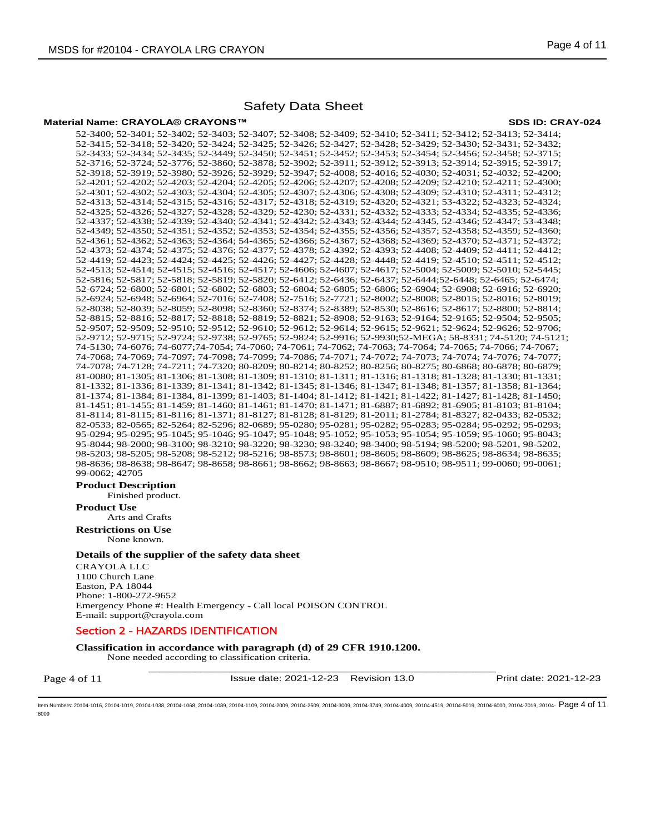#### **Material Name: CRAYOLA® CRAYONS™ SDS ID: CRAY-024**

52-3400; 52-3401; 52-3402; 52-3403; 52-3407; 52-3408; 52-3409; 52-3410; 52-3411; 52-3412; 52-3413; 52-3414; 52-3415; 52-3418; 52-3420; 52-3424; 52-3425; 52-3426; 52-3427; 52-3428; 52-3429; 52-3430; 52-3431; 52-3432; 52-3433; 52-3434; 52-3435; 52-3449; 52-3450; 52-3451; 52-3452; 52-3453; 52-3454; 52-3456; 52-3458; 52-3715; 52-3716; 52-3724; 52-3776; 52-3860; 52-3878; 52-3902; 52-3911; 52-3912; 52-3913; 52-3914; 52-3915; 52-3917; 52-3918; 52-3919; 52-3980; 52-3926; 52-3929; 52-3947; 52-4008; 52-4016; 52-4030; 52-4031; 52-4032; 52-4200; 52-4201; 52-4202; 52-4203; 52-4204; 52-4205; 52-4206; 52-4207; 52-4208; 52-4209; 52-4210; 52-4211; 52-4300; 52-4301; 52-4302; 52-4303; 52-4304; 52-4305; 52-4307; 52-4306; 52-4308; 52-4309; 52-4310; 52-4311; 52-4312; 52-4313; 52-4314; 52-4315; 52-4316; 52-4317; 52-4318; 52-4319; 52-4320; 52-4321; 53-4322; 52-4323; 52-4324; 52-4325; 52-4326; 52-4327; 52-4328; 52-4329; 52-4230; 52-4331; 52-4332; 52-4333; 52-4334; 52-4335; 52-4336; 52-4337; 52-4338; 52-4339; 52-4340; 52-4341; 52-4342; 52-4343; 52-4344; 52-4345, 52-4346; 52-4347; 53-4348; 52-4349; 52-4350; 52-4351; 52-4352; 52-4353; 52-4354; 52-4355; 52-4356; 52-4357; 52-4358; 52-4359; 52-4360; 52-4361; 52-4362; 52-4363; 52-4364; 54-4365; 52-4366; 52-4367; 52-4368; 52-4369; 52-4370; 52-4371; 52-4372; 52-4373; 52-4374; 52-4375; 52-4376; 52-4377; 52-4378; 52-4392; 52-4393; 52-4408; 52-4409; 52-4411; 52-4412; 52-4419; 52-4423; 52-4424; 52-4425; 52-4426; 52-4427; 52-4428; 52-4448; 52-4419; 52-4510; 52-4511; 52-4512; 52-4513; 52-4514; 52-4515; 52-4516; 52-4517; 52-4606; 52-4607; 52-4617; 52-5004; 52-5009; 52-5010; 52-5445; 52-5816; 52-5817; 52-5818; 52-5819; 52-5820; 52-6412; 52-6436; 52-6437; 52-6444;52-6448; 52-6465; 52-6474; 52-6724; 52-6800; 52-6801; 52-6802; 52-6803; 52-6804; 52-6805; 52-6806; 52-6904; 52-6908; 52-6916; 52-6920; 52-6924; 52-6948; 52-6964; 52-7016; 52-7408; 52-7516; 52-7721; 52-8002; 52-8008; 52-8015; 52-8016; 52-8019; 52-8038; 52-8039; 52-8059; 52-8098; 52-8360; 52-8374; 52-8389; 52-8530; 52-8616; 52-8617; 52-8800; 52-8814; 52-8815; 52-8816; 52-8817; 52-8818; 52-8819; 52-8821; 52-8908; 52-9163; 52-9164; 52-9165; 52-9504; 52-9505; 52-9507; 52-9509; 52-9510; 52-9512; 52-9610; 52-9612; 52-9614; 52-9615; 52-9621; 52-9624; 52-9626; 52-9706; 52-9712; 52-9715; 52-9724; 52-9738; 52-9765; 52-9824; 52-9916; 52-9930;52-MEGA; 58-8331; 74-5120; 74-5121; 74-5130; 74-6076; 74-6077;74-7054; 74-7060; 74-7061; 74-7062; 74-7063; 74-7064; 74-7065; 74-7066; 74-7067; 74-7068; 74-7069; 74-7097; 74-7098; 74-7099; 74-7086; 74-7071; 74-7072; 74-7073; 74-7074; 74-7076; 74-7077; 74-7078; 74-7128; 74-7211; 74-7320; 80-8209; 80-8214; 80-8252; 80-8256; 80-8275; 80-6868; 80-6878; 80-6879; 81-0080; 81-1305; 81-1306; 81-1308; 81-1309; 81-1310; 81-1311; 81-1316; 81-1318; 81-1328; 81-1330; 81-1331; 81-1332; 81-1336; 81-1339; 81-1341; 81-1342; 81-1345; 81-1346; 81-1347; 81-1348; 81-1357; 81-1358; 81-1364; 81-1374; 81-1384; 81-1384, 81-1399; 81-1403; 81-1404; 81-1412; 81-1421; 81-1422; 81-1427; 81-1428; 81-1450; 81-1451; 81-1455; 81-1459; 81-1460; 81-1461; 81-1470; 81-1471; 81-6887; 81-6892; 81-6905; 81-8103; 81-8104; 81-8114; 81-8115; 81-8116; 81-1371; 81-8127; 81-8128; 81-8129; 81-2011; 81-2784; 81-8327; 82-0433; 82-0532; 82-0533; 82-0565; 82-5264; 82-5296; 82-0689; 95-0280; 95-0281; 95-0282; 95-0283; 95-0284; 95-0292; 95-0293; 95-0294; 95-0295; 95-1045; 95-1046; 95-1047; 95-1048; 95-1052; 95-1053; 95-1054; 95-1059; 95-1060; 95-8043; 95-8044; 98-2000; 98-3100; 98-3210; 98-3220; 98-3230; 98-3240; 98-3400; 98-5194; 98-5200; 98-5201, 98-5202, 98-5203; 98-5205; 98-5208; 98-5212; 98-5216; 98-8573; 98-8601; 98-8605; 98-8609; 98-8625; 98-8634; 98-8635; 98-8636; 98-8638; 98-8647; 98-8658; 98-8661; 98-8662; 98-8663; 98-8667; 98-9510; 98-9511; 99-0060; 99-0061; 99-0062; 42705

# **Product Description**

Finished product.

**Product Use** Arts and Crafts

**Restrictions on Use**

None known.

# **Details of the supplier of the safety data sheet**

CRAYOLA LLC 1100 Church Lane Easton, PA 18044 Phone: 1-800-272-9652 Emergency Phone #: Health Emergency - Call local POISON CONTROL E-mail: support@crayola.com

# Section 2 - HAZARDS IDENTIFICATION

**Classification in accordance with paragraph (d) of 29 CFR 1910.1200.** 

\_\_\_\_\_\_\_\_\_\_\_\_\_\_\_\_\_\_\_\_\_\_\_\_\_\_\_\_\_\_\_\_\_\_\_\_\_\_\_\_\_\_\_\_\_\_\_\_\_\_\_\_\_\_\_\_\_\_\_\_ None needed according to classification criteria.

Page 4 of 11

Issue date: 2021-12-23 Revision 13.0 Print date: 2021-12-23

ltem Numbers: 20104-1016, 20104-1019, 20104-1038, 20104-1088, 20104-1089, 20104-1109, 20104-2009, 20104-2509, 20104-3719, 20104-4019, 20104-4019, 20104-5019, 20104-4519, 20104-6010, 20104-6000, 20104-7019, 20104-6000, 2010 8009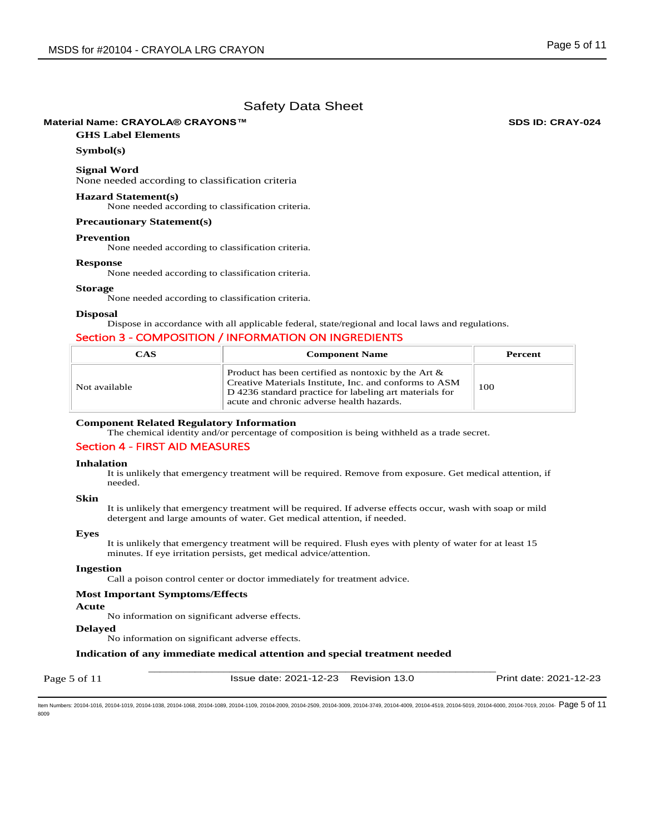# **Material Name: CRAYOLA® CRAYONS™ SDS ID: CRAY-024**

# **GHS Label Elements**

# **Symbol(s)**

**Signal Word**  None needed according to classification criteria

## **Hazard Statement(s)**

None needed according to classification criteria.

# **Precautionary Statement(s)**

#### **Prevention**

None needed according to classification criteria.

#### **Response**

None needed according to classification criteria.

# **Storage**

None needed according to classification criteria.

#### **Disposal**

Dispose in accordance with all applicable federal, state/regional and local laws and regulations.

# Section 3 - COMPOSITION / INFORMATION ON INGREDIENTS

| CAS           | <b>Component Name</b>                                                                                                                                                                                                    | Percent |
|---------------|--------------------------------------------------------------------------------------------------------------------------------------------------------------------------------------------------------------------------|---------|
| Not available | Product has been certified as nontoxic by the Art $\&$<br>Creative Materials Institute, Inc. and conforms to ASM<br>D 4236 standard practice for labeling art materials for<br>acute and chronic adverse health hazards. | 100     |

# **Component Related Regulatory Information**

The chemical identity and/or percentage of composition is being withheld as a trade secret.

## Section 4 - FIRST AID MEASURES

#### **Inhalation**

It is unlikely that emergency treatment will be required. Remove from exposure. Get medical attention, if needed.

# **Skin**

It is unlikely that emergency treatment will be required. If adverse effects occur, wash with soap or mild detergent and large amounts of water. Get medical attention, if needed.

## **Eyes**

It is unlikely that emergency treatment will be required. Flush eyes with plenty of water for at least 15 minutes. If eye irritation persists, get medical advice/attention.

## **Ingestion**

Call a poison control center or doctor immediately for treatment advice.

#### **Most Important Symptoms/Effects**

#### **Acute**

No information on significant adverse effects.

# **Delayed**

No information on significant adverse effects.

# **Indication of any immediate medical attention and special treatment needed**

Page 5 of 11

Issue date: 2021-12-23 Revision 13.0 Print date: 2021-12-23

Item Numbers: 20104-1016, 20104-1019, 20104-1038, 20104-1068, 20104-1089, 20104-1109, 20104-2009, 20104-2509, 20104-3009, 20104-3749, 20104-4009, 20104-4519, 20104-5019, 20104-6000, 20104-7019, 20104- Page 5 of 118009

\_\_\_\_\_\_\_\_\_\_\_\_\_\_\_\_\_\_\_\_\_\_\_\_\_\_\_\_\_\_\_\_\_\_\_\_\_\_\_\_\_\_\_\_\_\_\_\_\_\_\_\_\_\_\_\_\_\_\_\_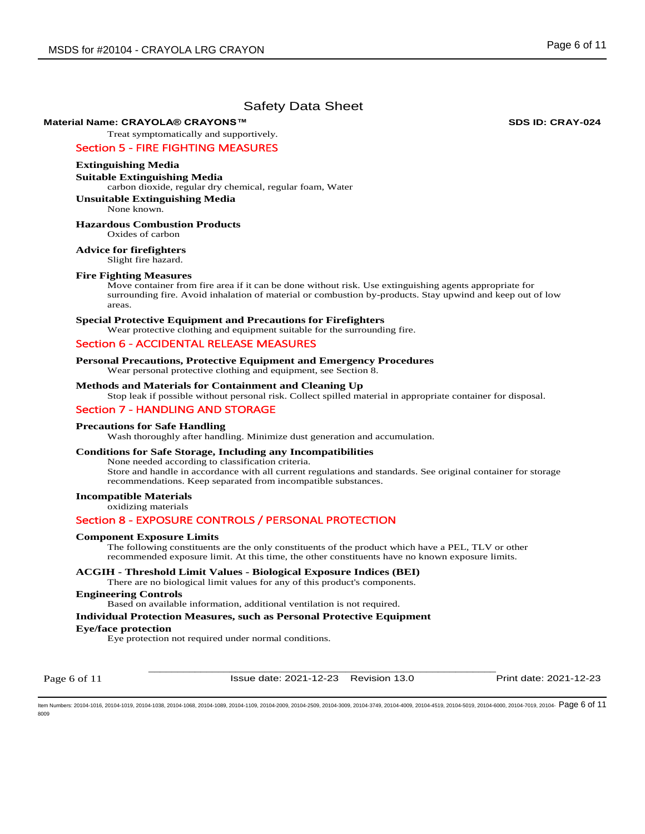## **Material Name: CRAYOLA® CRAYONS™ SDS ID: CRAY-024**

Treat symptomatically and supportively.

# Section 5 - FIRE FIGHTING MEASURES

### **Extinguishing Media**

**Suitable Extinguishing Media** 

carbon dioxide, regular dry chemical, regular foam, Water

# **Unsuitable Extinguishing Media**

None known.

# **Hazardous Combustion Products**

Oxides of carbon

# **Advice for firefighters**

Slight fire hazard.

### **Fire Fighting Measures**

Move container from fire area if it can be done without risk. Use extinguishing agents appropriate for surrounding fire. Avoid inhalation of material or combustion by-products. Stay upwind and keep out of low areas.

## **Special Protective Equipment and Precautions for Firefighters**

Wear protective clothing and equipment suitable for the surrounding fire.

# Section 6 - ACCIDENTAL RELEASE MEASURES

## **Personal Precautions, Protective Equipment and Emergency Procedures**

Wear personal protective clothing and equipment, see Section 8.

# **Methods and Materials for Containment and Cleaning Up**

Stop leak if possible without personal risk. Collect spilled material in appropriate container for disposal.

# Section 7 - HANDLING AND STORAGE

#### **Precautions for Safe Handling**

Wash thoroughly after handling. Minimize dust generation and accumulation.

#### **Conditions for Safe Storage, Including any Incompatibilities**

None needed according to classification criteria. Store and handle in accordance with all current regulations and standards. See original container for storage recommendations. Keep separated from incompatible substances.

## **Incompatible Materials**

oxidizing materials

# Section 8 - EXPOSURE CONTROLS / PERSONAL PROTECTION

#### **Component Exposure Limits**

The following constituents are the only constituents of the product which have a PEL, TLV or other recommended exposure limit. At this time, the other constituents have no known exposure limits.

# **ACGIH - Threshold Limit Values - Biological Exposure Indices (BEI)**

There are no biological limit values for any of this product's components.

# **Engineering Controls**

Based on available information, additional ventilation is not required.

#### **Individual Protection Measures, such as Personal Protective Equipment**

#### **Eye/face protection**

Eye protection not required under normal conditions.

Page 6 of 11

\_\_\_\_\_\_\_\_\_\_\_\_\_\_\_\_\_\_\_\_\_\_\_\_\_\_\_\_\_\_\_\_\_\_\_\_\_\_\_\_\_\_\_\_\_\_\_\_\_\_\_\_\_\_\_\_\_\_\_\_ Issue date: 2021-12-23 Revision 13.0 Print date: 2021-12-23

ltem Numbers: 20104-1016, 20104-1019, 20104-1038, 20104-1088, 20104-1089, 20104-1109, 20104-2009, 20104-2509, 20104-3719, 20104-4019, 20104-4019, 20104-5019, 20104-4519, 20104-6000, 20104-7019, 20104-  $P$   $\overline{\text{PQ}}\text{G6 of$ 8009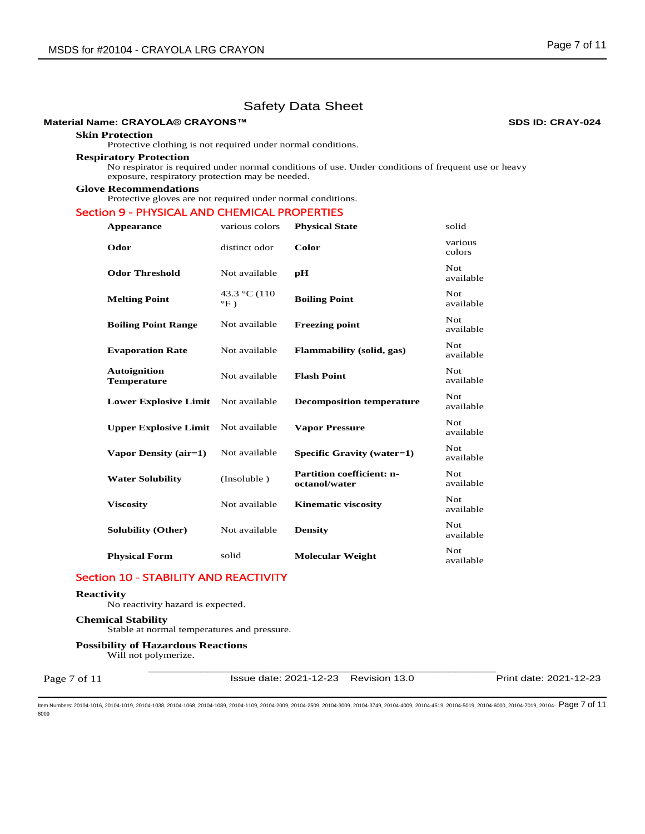## **Material Name: CRAYOLA® CRAYONS™ SDS ID: CRAY-024**

#### **Skin Protection**

Protective clothing is not required under normal conditions.

## **Respiratory Protection**

No respirator is required under normal conditions of use. Under conditions of frequent use or heavy exposure, respiratory protection may be needed.

#### **Glove Recommendations**

Protective gloves are not required under normal conditions.

# Section 9 - PHYSICAL AND CHEMICAL PROPERTIES

| Appearance                                | various colors               | <b>Physical State</b>                             | solid                   |
|-------------------------------------------|------------------------------|---------------------------------------------------|-------------------------|
| Odor                                      | distinct odor                | Color                                             | various<br>colors       |
| <b>Odor Threshold</b>                     | Not available                | pH                                                | <b>Not</b><br>available |
| <b>Melting Point</b>                      | 43.3 °C (110<br>$\mathrm{P}$ | <b>Boiling Point</b>                              | Not<br>available        |
| <b>Boiling Point Range</b>                | Not available                | <b>Freezing point</b>                             | Not.<br>available       |
| <b>Evaporation Rate</b>                   | Not available                | Flammability (solid, gas)                         | <b>Not</b><br>available |
| <b>Autoignition</b><br><b>Temperature</b> | Not available                | <b>Flash Point</b>                                | <b>Not</b><br>available |
| <b>Lower Explosive Limit</b>              | Not available                | <b>Decomposition temperature</b>                  | Not.<br>available       |
| <b>Upper Explosive Limit</b>              | Not available                | <b>Vapor Pressure</b>                             | <b>Not</b><br>available |
| Vapor Density (air=1)                     | Not available                | Specific Gravity (water=1)                        | <b>Not</b><br>available |
| <b>Water Solubility</b>                   | (Insoluble)                  | <b>Partition coefficient: n-</b><br>octanol/water | <b>Not</b><br>available |
| <b>Viscosity</b>                          | Not available                | <b>Kinematic viscosity</b>                        | <b>Not</b><br>available |
| <b>Solubility (Other)</b>                 | Not available                | <b>Density</b>                                    | Not.<br>available       |
| <b>Physical Form</b>                      | solid                        | <b>Molecular Weight</b>                           | Not<br>available        |

# Section 10 - STABILITY AND REACTIVITY

#### **Reactivity**

Page 7 of 11

No reactivity hazard is expected.

# **Chemical Stability**

Stable at normal temperatures and pressure.

### **Possibility of Hazardous Reactions**

Will not polymerize.

Issue date: 2021-12-23 Revision 13.0 Print date: 2021-12-23

ltem Numbers: 20104-1016, 20104-1019, 20104-1038, 20104-1088, 20104-1089, 20104-1109, 20104-2009, 20104-2509, 20104-3719, 20104-4019, 20104-4519, 20104-5019, 20104-45019, 20104-5019, 20104-6000, 20104-7019, 20104-600, 2010 8009

\_\_\_\_\_\_\_\_\_\_\_\_\_\_\_\_\_\_\_\_\_\_\_\_\_\_\_\_\_\_\_\_\_\_\_\_\_\_\_\_\_\_\_\_\_\_\_\_\_\_\_\_\_\_\_\_\_\_\_\_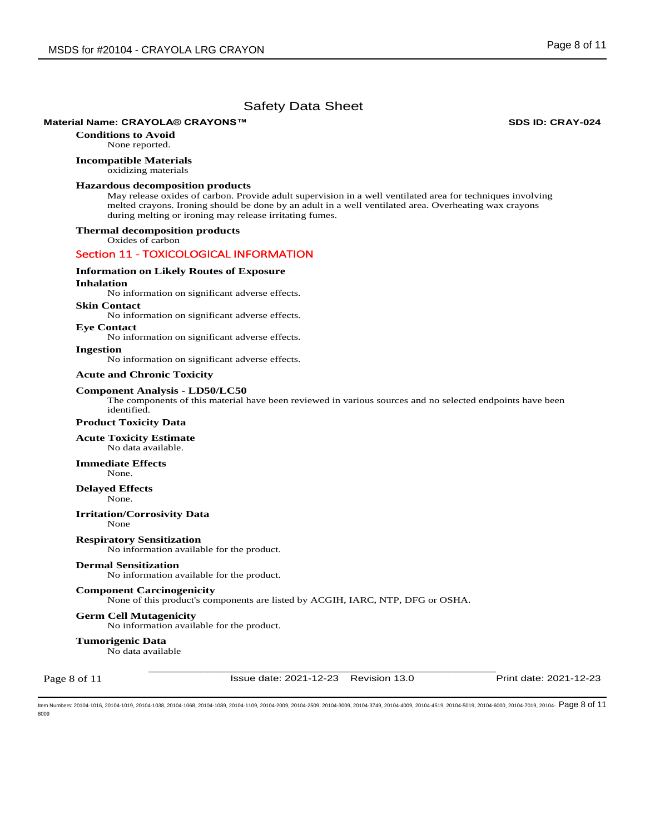#### **Material Name: CRAYOLA® CRAYONS™ SDS ID: CRAY-024**

**Conditions to Avoid** None reported.

# **Incompatible Materials**

oxidizing materials

## **Hazardous decomposition products**

May release oxides of carbon. Provide adult supervision in a well ventilated area for techniques involving melted crayons. Ironing should be done by an adult in a well ventilated area. Overheating wax crayons during melting or ironing may release irritating fumes.

# **Thermal decomposition products**

Oxides of carbon

# Section 11 - TOXICOLOGICAL INFORMATION

## **Information on Likely Routes of Exposure**

#### **Inhalation**

No information on significant adverse effects.

**Skin Contact** 

No information on significant adverse effects.

#### **Eye Contact**

No information on significant adverse effects.

**Ingestion** 

No information on significant adverse effects.

### **Acute and Chronic Toxicity**

#### **Component Analysis - LD50/LC50**

The components of this material have been reviewed in various sources and no selected endpoints have been identified.

## **Product Toxicity Data**

### **Acute Toxicity Estimate**

No data available.

#### **Immediate Effects**  None.

# **Delayed Effects**

None.

**Irritation/Corrosivity Data**  None

# **Respiratory Sensitization**

No information available for the product.

## **Dermal Sensitization**

No information available for the product.

#### **Component Carcinogenicity**

None of this product's components are listed by ACGIH, IARC, NTP, DFG or OSHA.

#### **Germ Cell Mutagenicity**

No information available for the product.

#### **Tumorigenic Data**

No data available

Page 8 of 11

Issue date: 2021-12-23 Revision 13.0 Print date: 2021-12-23

\_\_\_\_\_\_\_\_\_\_\_\_\_\_\_\_\_\_\_\_\_\_\_\_\_\_\_\_\_\_\_\_\_\_\_\_\_\_\_\_\_\_\_\_\_\_\_\_\_\_\_\_\_\_\_\_\_\_\_\_

ltem Numbers: 20104-1016, 20104-1019, 20104-1038, 20104-1088, 20104-1089, 20104-1109, 20104-2009, 20104-2509, 20104-3719, 20104-4019, 20104-4019, 20104-5019, 20104-4519, 20104-6000, 20104-7019, 20104-  $P$  and -  $P$  and  $P$ 8009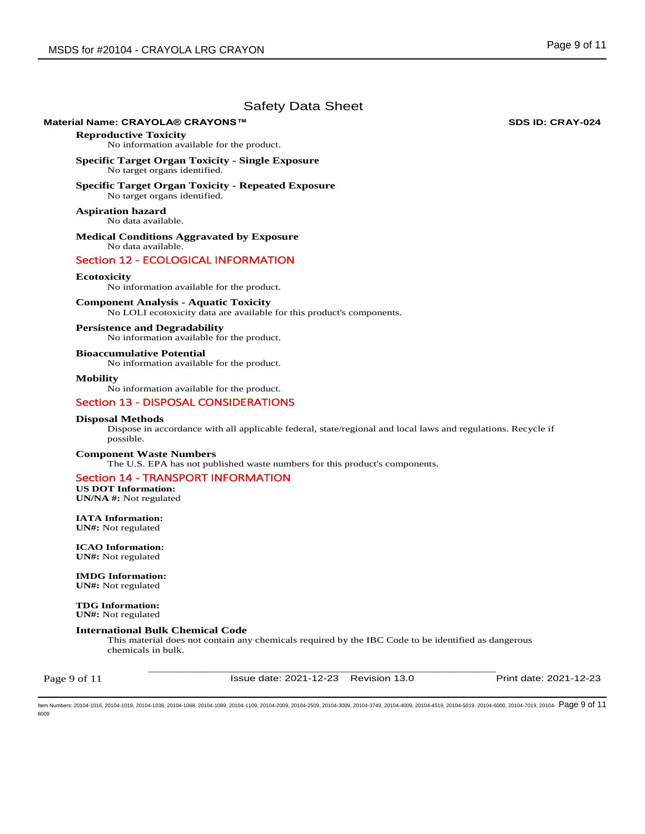### **Material Name: CRAYOLA® CRAYONS™ SDS ID: CRAY-024**

**Reproductive Toxicity** 

No information available for the product.

**Specific Target Organ Toxicity - Single Exposure**  No target organs identified.

**Specific Target Organ Toxicity - Repeated Exposure**  No target organs identified.

**Aspiration hazard**  No data available.

**Medical Conditions Aggravated by Exposure** No data available.

# Section 12 - ECOLOGICAL INFORMATION

# **Ecotoxicity**

No information available for the product.

## **Component Analysis - Aquatic Toxicity**

No LOLI ecotoxicity data are available for this product's components.

#### **Persistence and Degradability**

No information available for the product.

**Bioaccumulative Potential**  No information available for the product.

**Mobility** 

No information available for the product.

# Section 13 - DISPOSAL CONSIDERATIONS

### **Disposal Methods**

Dispose in accordance with all applicable federal, state/regional and local laws and regulations. Recycle if possible.

#### **Component Waste Numbers**

The U.S. EPA has not published waste numbers for this product's components.

# Section 14 - TRANSPORT INFORMATION

**US DOT Information: UN/NA #:** Not regulated

**IATA Information: UN#:** Not regulated

**ICAO Information: UN#:** Not regulated

**IMDG Information: UN#:** Not regulated

**TDG Information: UN#:** Not regulated

# **International Bulk Chemical Code**

This material does not contain any chemicals required by the IBC Code to be identified as dangerous chemicals in bulk.

Page 9 of 11

\_\_\_\_\_\_\_\_\_\_\_\_\_\_\_\_\_\_\_\_\_\_\_\_\_\_\_\_\_\_\_\_\_\_\_\_\_\_\_\_\_\_\_\_\_\_\_\_\_\_\_\_\_\_\_\_\_\_\_\_ Issue date: 2021-12-23 Revision 13.0 Print date: 2021-12-23

Item Numbers: 20104-1016, 20104-1019, 20104-1038, 20104-1068, 20104-1089, 20104-1109, 20104-2009, 20104-2509, 20104-3009, 20104-3749, 20104-4009, 20104-4519, 20104-5019, 20104-6000, 20104-7019, 20104- Page 9 of 118009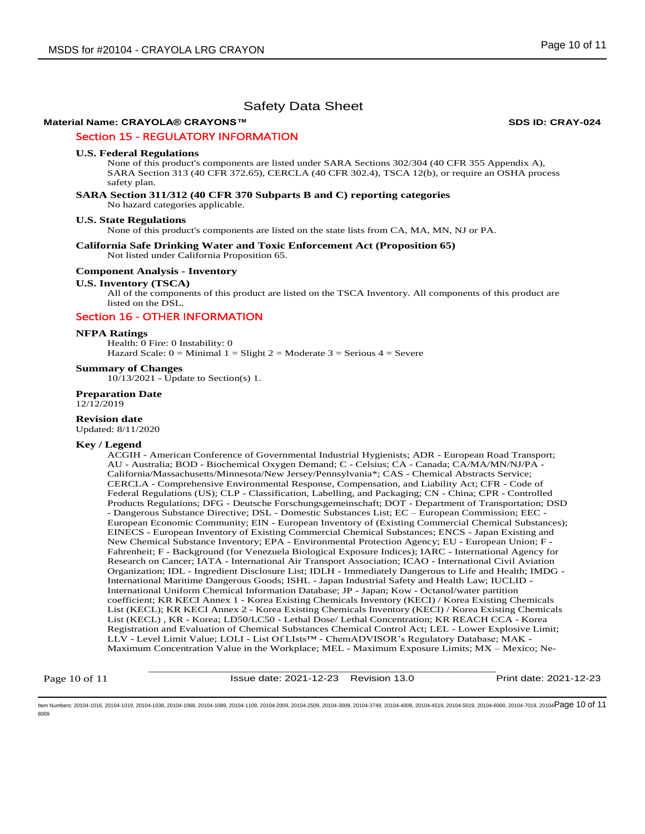# **Material Name: CRAYOLA® CRAYONS™ SDS ID: CRAY-024**

# Section 15 - REGULATORY INFORMATION

#### **U.S. Federal Regulations**

None of this product's components are listed under SARA Sections 302/304 (40 CFR 355 Appendix A), SARA Section 313 (40 CFR 372.65), CERCLA (40 CFR 302.4), TSCA 12(b), or require an OSHA process safety plan.

# **SARA Section 311/312 (40 CFR 370 Subparts B and C) reporting categories**

No hazard categories applicable.

#### **U.S. State Regulations**

None of this product's components are listed on the state lists from CA, MA, MN, NJ or PA.

#### **California Safe Drinking Water and Toxic Enforcement Act (Proposition 65)**  Not listed under California Proposition 65.

#### **Component Analysis - Inventory**

#### **U.S. Inventory (TSCA)**

All of the components of this product are listed on the TSCA Inventory. All components of this product are listed on the DSL.

# Section 16 - OTHER INFORMATION

#### **NFPA Ratings**

Health: 0 Fire: 0 Instability: 0 Hazard Scale:  $0 =$  Minimal  $1 =$  Slight  $2 =$  Moderate  $3 =$  Serious  $4 =$  Severe

#### **Summary of Changes**

10/13/2021 - Update to Section(s) 1.

## **Preparation Date**

12/12/2019

#### **Revision date**

Updated: 8/11/2020

#### **Key / Legend**

ACGIH - American Conference of Governmental Industrial Hygienists; ADR - European Road Transport; AU - Australia; BOD - Biochemical Oxygen Demand; C - Celsius; CA - Canada; CA/MA/MN/NJ/PA - California/Massachusetts/Minnesota/New Jersey/Pennsylvania\*; CAS - Chemical Abstracts Service; CERCLA - Comprehensive Environmental Response, Compensation, and Liability Act; CFR - Code of Federal Regulations (US); CLP - Classification, Labelling, and Packaging; CN - China; CPR - Controlled Products Regulations; DFG - Deutsche Forschungsgemeinschaft; DOT - Department of Transportation; DSD - Dangerous Substance Directive; DSL - Domestic Substances List; EC – European Commission; EEC - European Economic Community; EIN - European Inventory of (Existing Commercial Chemical Substances); EINECS - European Inventory of Existing Commercial Chemical Substances; ENCS - Japan Existing and New Chemical Substance Inventory; EPA - Environmental Protection Agency; EU - European Union; F - Fahrenheit; F - Background (for Venezuela Biological Exposure Indices); IARC - International Agency for Research on Cancer; IATA - International Air Transport Association; ICAO - International Civil Aviation Organization; IDL - Ingredient Disclosure List; IDLH - Immediately Dangerous to Life and Health; IMDG - International Maritime Dangerous Goods; ISHL - Japan Industrial Safety and Health Law; IUCLID - International Uniform Chemical Information Database; JP - Japan; Kow - Octanol/water partition coefficient; KR KECI Annex 1 - Korea Existing Chemicals Inventory (KECI) / Korea Existing Chemicals List (KECL); KR KECI Annex 2 - Korea Existing Chemicals Inventory (KECI) / Korea Existing Chemicals List (KECL) , KR - Korea; LD50/LC50 - Lethal Dose/ Lethal Concentration; KR REACH CCA - Korea Registration and Evaluation of Chemical Substances Chemical Control Act; LEL - Lower Explosive Limit; LLV - Level Limit Value; LOLI - List Of LIsts™ - ChemADVISOR's Regulatory Database; MAK - Maximum Concentration Value in the Workplace; MEL - Maximum Exposure Limits; MX – Mexico; Ne-

Page 10 of 11

\_\_\_\_\_\_\_\_\_\_\_\_\_\_\_\_\_\_\_\_\_\_\_\_\_\_\_\_\_\_\_\_\_\_\_\_\_\_\_\_\_\_\_\_\_\_\_\_\_\_\_\_\_\_\_\_\_\_\_\_ Issue date: 2021-12-23 Revision 13.0 Print date: 2021-12-23

ltem Numbers: 20104-1016, 20104-1019, 20104-1038, 20104-1088, 20104-1089, 20104-1109, 20104-2009, 20104-2509, 20104-379, 20104-3019, 20104-4019, 20104-5019, 20104-4519, 20104-6000, 20104-7019, 20104- ${\bf P}$ 8009